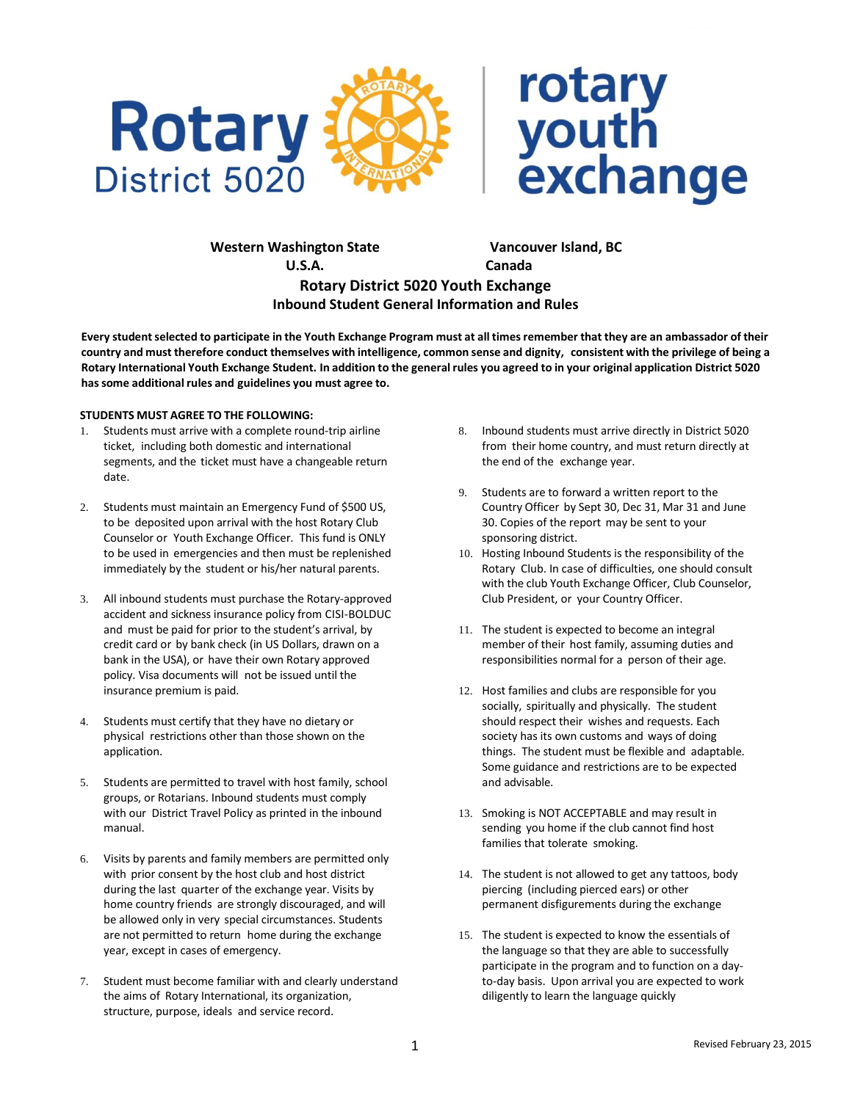



 **Western Washington State Vancouver Island, BC U.S.A. Canada Rotary District 5020 Youth Exchange Inbound Student General Information and Rules**

Every student selected to participate in the Youth Exchange Program must at all times remember that they are an ambassador of their country and must therefore conduct themselves with intelligence, common sense and dignity, consistent with the privilege of being a Rotary International Youth Exchange Student. In addition to the general rules you agreed to in your original application District 5020 **hassome additional rules and guidelines you must agree to.**

## **STUDENTS MUST AGREE TO THE FOLLOWING:**

- 1. Students must arrive with a complete round-trip airline ticket, including both domestic and international segments, and the ticket must have a changeable return date.
- 2. Students must maintain an Emergency Fund of \$500 US, to be deposited upon arrival with the host Rotary Club Counselor or Youth Exchange Officer. This fund is ONLY to be used in emergencies and then must be replenished immediately by the student or his/her natural parents.
- 3. All inbound students must purchase the Rotary-approved accident and sickness insurance policy from CISI-BOLDUC and must be paid for prior to the student's arrival, by credit card or by bank check (in US Dollars, drawn on a bank in the USA), or have their own Rotary approved policy. Visa documents will not be issued until the insurance premium is paid.
- 4. Students must certify that they have no dietary or physical restrictions other than those shown on the application.
- 5. Students are permitted to travel with host family, school groups, or Rotarians. Inbound students must comply with our District Travel Policy as printed in the inbound manual.
- 6. Visits by parents and family members are permitted only with prior consent by the host club and host district during the last quarter of the exchange year. Visits by home country friends are strongly discouraged, and will be allowed only in very special circumstances. Students are not permitted to return home during the exchange year, except in cases of emergency.
- 7. Student must become familiar with and clearly understand the aims of Rotary International, its organization, structure, purpose, ideals and service record.
- 8. Inbound students must arrive directly in District 5020 from their home country, and must return directly at the end of the exchange year.
- 9. Students are to forward a written report to the Country Officer by Sept 30, Dec 31, Mar 31 and June 30. Copies of the report may be sent to your sponsoring district.
- 10. Hosting Inbound Students is the responsibility of the Rotary Club. In case of difficulties, one should consult with the club Youth Exchange Officer, Club Counselor, Club President, or your Country Officer.
- 11. The student is expected to become an integral member of their host family, assuming duties and responsibilities normal for a person of their age.
- 12. Host families and clubs are responsible for you socially, spiritually and physically. The student should respect their wishes and requests. Each society has its own customs and ways of doing things. The student must be flexible and adaptable. Some guidance and restrictions are to be expected and advisable.
- 13. Smoking is NOT ACCEPTABLE and may result in sending you home if the club cannot find host families that tolerate smoking.
- 14. The student is not allowed to get any tattoos, body piercing (including pierced ears) or other permanent disfigurements during the exchange
- 15. The student is expected to know the essentials of the language so that they are able to successfully participate in the program and to function on a dayto-day basis. Upon arrival you are expected to work diligently to learn the language quickly